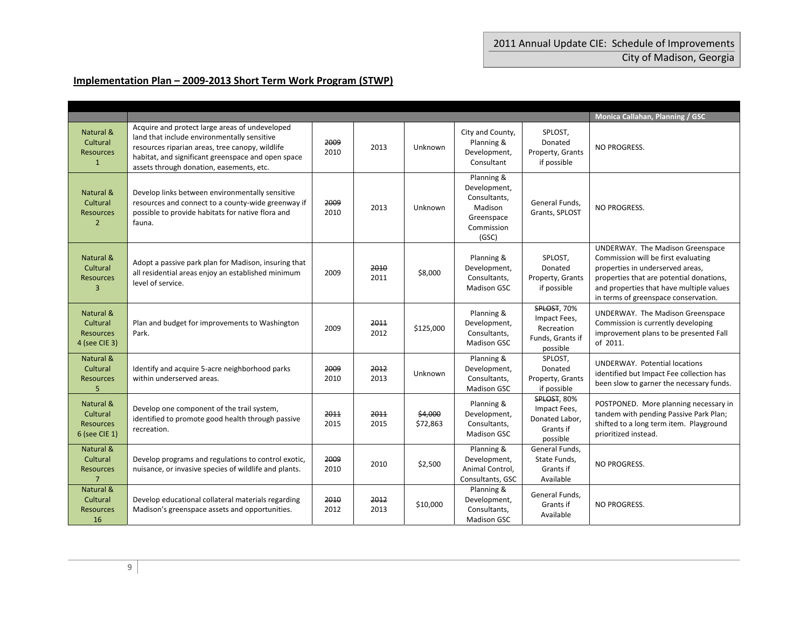## **Implementation Plan – 2009‐2013 Short Term Work Program (STWP)**

|                                                             |                                                                                                                                                                                                                                                    |              |              |                     |                                                                                            |                                                                           | Monica Callahan, Planning / GSC                                                                                                                                                                                                             |
|-------------------------------------------------------------|----------------------------------------------------------------------------------------------------------------------------------------------------------------------------------------------------------------------------------------------------|--------------|--------------|---------------------|--------------------------------------------------------------------------------------------|---------------------------------------------------------------------------|---------------------------------------------------------------------------------------------------------------------------------------------------------------------------------------------------------------------------------------------|
| Natural &<br>Cultural<br><b>Resources</b><br>$\mathbf{1}$   | Acquire and protect large areas of undeveloped<br>land that include environmentally sensitive<br>resources riparian areas, tree canopy, wildlife<br>habitat, and significant greenspace and open space<br>assets through donation, easements, etc. | 2009<br>2010 | 2013         | Unknown             | City and County,<br>Planning &<br>Development,<br>Consultant                               | SPLOST,<br>Donated<br>Property, Grants<br>if possible                     | <b>NO PROGRESS.</b>                                                                                                                                                                                                                         |
| Natural &<br>Cultural<br><b>Resources</b><br>$\overline{2}$ | Develop links between environmentally sensitive<br>resources and connect to a county-wide greenway if<br>possible to provide habitats for native flora and<br>fauna.                                                                               | 2009<br>2010 | 2013         | Unknown             | Planning &<br>Development,<br>Consultants,<br>Madison<br>Greenspace<br>Commission<br>(GSC) | General Funds,<br>Grants, SPLOST                                          | <b>NO PROGRESS.</b>                                                                                                                                                                                                                         |
| Natural &<br>Cultural<br><b>Resources</b><br>З              | Adopt a passive park plan for Madison, insuring that<br>all residential areas enjoy an established minimum<br>level of service.                                                                                                                    | 2009         | 2010<br>2011 | \$8,000             | Planning &<br>Development,<br>Consultants,<br>Madison GSC                                  | SPLOST,<br>Donated<br>Property, Grants<br>if possible                     | UNDERWAY. The Madison Greenspace<br>Commission will be first evaluating<br>properties in underserved areas,<br>properties that are potential donations,<br>and properties that have multiple values<br>in terms of greenspace conservation. |
| Natural &<br>Cultural<br><b>Resources</b><br>4 (see CIE 3)  | Plan and budget for improvements to Washington<br>Park.                                                                                                                                                                                            | 2009         | 2011<br>2012 | \$125,000           | Planning &<br>Development,<br>Consultants,<br><b>Madison GSC</b>                           | SPLOST, 70%<br>Impact Fees,<br>Recreation<br>Funds, Grants if<br>possible | UNDERWAY. The Madison Greenspace<br>Commission is currently developing<br>improvement plans to be presented Fall<br>of 2011.                                                                                                                |
| Natural &<br>Cultural<br><b>Resources</b><br>5              | Identify and acquire 5-acre neighborhood parks<br>within underserved areas.                                                                                                                                                                        | 2009<br>2010 | 2012<br>2013 | Unknown             | Planning &<br>Development,<br>Consultants,<br><b>Madison GSC</b>                           | SPLOST,<br>Donated<br>Property, Grants<br>if possible                     | <b>UNDERWAY. Potential locations</b><br>identified but Impact Fee collection has<br>been slow to garner the necessary funds.                                                                                                                |
| Natural &<br>Cultural<br><b>Resources</b><br>6 (see CIE 1)  | Develop one component of the trail system,<br>identified to promote good health through passive<br>recreation.                                                                                                                                     | 2011<br>2015 | 2011<br>2015 | \$4,000<br>\$72,863 | Planning &<br>Development,<br>Consultants,<br>Madison GSC                                  | SPLOST, 80%<br>Impact Fees,<br>Donated Labor,<br>Grants if<br>possible    | POSTPONED. More planning necessary in<br>tandem with pending Passive Park Plan;<br>shifted to a long term item. Playground<br>prioritized instead.                                                                                          |
| Natural &<br>Cultural<br><b>Resources</b><br>$\overline{7}$ | Develop programs and regulations to control exotic.<br>nuisance, or invasive species of wildlife and plants.                                                                                                                                       | 2009<br>2010 | 2010         | \$2,500             | Planning &<br>Development,<br>Animal Control,<br>Consultants, GSC                          | General Funds,<br>State Funds,<br>Grants if<br>Available                  | <b>NO PROGRESS.</b>                                                                                                                                                                                                                         |
| Natural &<br>Cultural<br><b>Resources</b><br>16             | Develop educational collateral materials regarding<br>Madison's greenspace assets and opportunities.                                                                                                                                               | 2010<br>2012 | 2012<br>2013 | \$10,000            | Planning &<br>Development,<br>Consultants,<br><b>Madison GSC</b>                           | General Funds,<br>Grants if<br>Available                                  | <b>NO PROGRESS.</b>                                                                                                                                                                                                                         |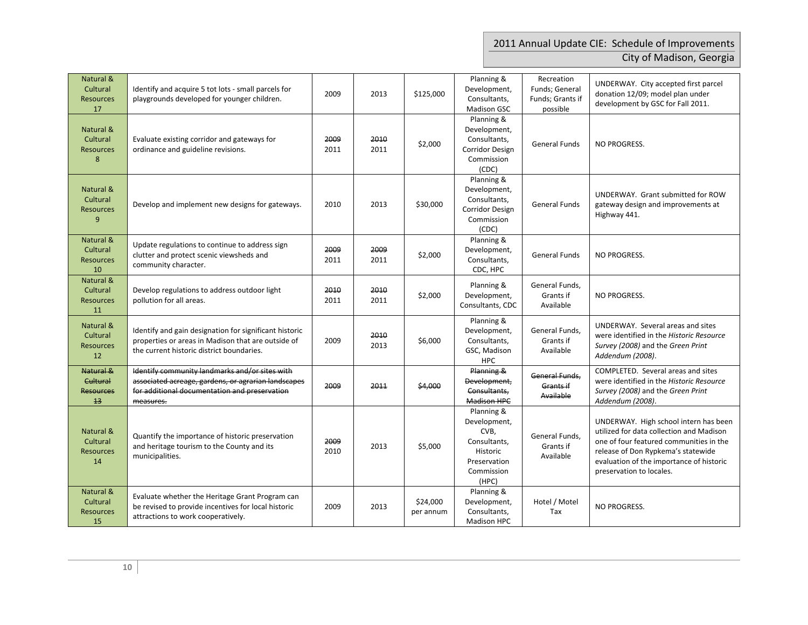## 2011 Annual Update CIE: Schedule of Improvements City of Madison, Georgia

| Natural &<br>Cultural<br><b>Resources</b><br>17 | Identify and acquire 5 tot lots - small parcels for<br>playgrounds developed for younger children.                                                                  | 2009         | 2013         | \$125,000             | Planning &<br>Development,<br>Consultants,<br>Madison GSC                                             | Recreation<br>Funds; General<br>Funds; Grants if<br>possible | UNDERWAY. City accepted first parcel<br>donation 12/09; model plan under<br>development by GSC for Fall 2011.                                                                                                                              |
|-------------------------------------------------|---------------------------------------------------------------------------------------------------------------------------------------------------------------------|--------------|--------------|-----------------------|-------------------------------------------------------------------------------------------------------|--------------------------------------------------------------|--------------------------------------------------------------------------------------------------------------------------------------------------------------------------------------------------------------------------------------------|
| Natural &<br>Cultural<br><b>Resources</b><br>8  | Evaluate existing corridor and gateways for<br>ordinance and guideline revisions.                                                                                   | 2009<br>2011 | 2010<br>2011 | \$2,000               | Planning &<br>Development,<br>Consultants,<br><b>Corridor Design</b><br>Commission<br>(CDC)           | <b>General Funds</b>                                         | <b>NO PROGRESS.</b>                                                                                                                                                                                                                        |
| Natural &<br>Cultural<br><b>Resources</b><br>9  | Develop and implement new designs for gateways.                                                                                                                     | 2010         | 2013         | \$30,000              | Planning &<br>Development,<br>Consultants,<br>Corridor Design<br>Commission<br>(CDC)                  | <b>General Funds</b>                                         | UNDERWAY. Grant submitted for ROW<br>gateway design and improvements at<br>Highway 441.                                                                                                                                                    |
| Natural &<br>Cultural<br><b>Resources</b><br>10 | Update regulations to continue to address sign<br>clutter and protect scenic viewsheds and<br>community character.                                                  | 2009<br>2011 | 2009<br>2011 | \$2,000               | Planning &<br>Development,<br>Consultants,<br>CDC, HPC                                                | <b>General Funds</b>                                         | <b>NO PROGRESS.</b>                                                                                                                                                                                                                        |
| Natural &<br>Cultural<br><b>Resources</b><br>11 | Develop regulations to address outdoor light<br>pollution for all areas.                                                                                            | 2010<br>2011 | 2010<br>2011 | \$2,000               | Planning &<br>Development,<br>Consultants, CDC                                                        | General Funds,<br>Grants if<br>Available                     | <b>NO PROGRESS.</b>                                                                                                                                                                                                                        |
| Natural &<br>Cultural<br><b>Resources</b><br>12 | Identify and gain designation for significant historic<br>properties or areas in Madison that are outside of<br>the current historic district boundaries.           | 2009         | 2010<br>2013 | \$6,000               | Planning &<br>Development,<br>Consultants,<br>GSC, Madison<br><b>HPC</b>                              | General Funds,<br>Grants if<br>Available                     | UNDERWAY. Several areas and sites<br>were identified in the Historic Resource<br>Survey (2008) and the Green Print<br>Addendum (2008).                                                                                                     |
| Natural &<br>Cultural<br><b>Resources</b><br>13 | Identify community landmarks and/or sites with<br>associated acreage, gardens, or agrarian landscapes<br>for additional documentation and preservation<br>measures. | 2009         | 2011         | \$4,000               | Planning &<br>Development,<br>Consultants,<br>Madison HPC                                             | General Funds.<br>Grants if<br>Available                     | COMPLETED. Several areas and sites<br>were identified in the Historic Resource<br>Survey (2008) and the Green Print<br>Addendum (2008).                                                                                                    |
| Natural &<br>Cultural<br><b>Resources</b><br>14 | Quantify the importance of historic preservation<br>and heritage tourism to the County and its<br>municipalities.                                                   | 2009<br>2010 | 2013         | \$5,000               | Planning &<br>Development,<br>CVB,<br>Consultants,<br>Historic<br>Preservation<br>Commission<br>(HPC) | General Funds,<br>Grants if<br>Available                     | UNDERWAY. High school intern has been<br>utilized for data collection and Madison<br>one of four featured communities in the<br>release of Don Rypkema's statewide<br>evaluation of the importance of historic<br>preservation to locales. |
| Natural &<br>Cultural<br><b>Resources</b><br>15 | Evaluate whether the Heritage Grant Program can<br>be revised to provide incentives for local historic<br>attractions to work cooperatively.                        | 2009         | 2013         | \$24,000<br>per annum | Planning &<br>Development,<br>Consultants,<br>Madison HPC                                             | Hotel / Motel<br>Tax                                         | NO PROGRESS.                                                                                                                                                                                                                               |